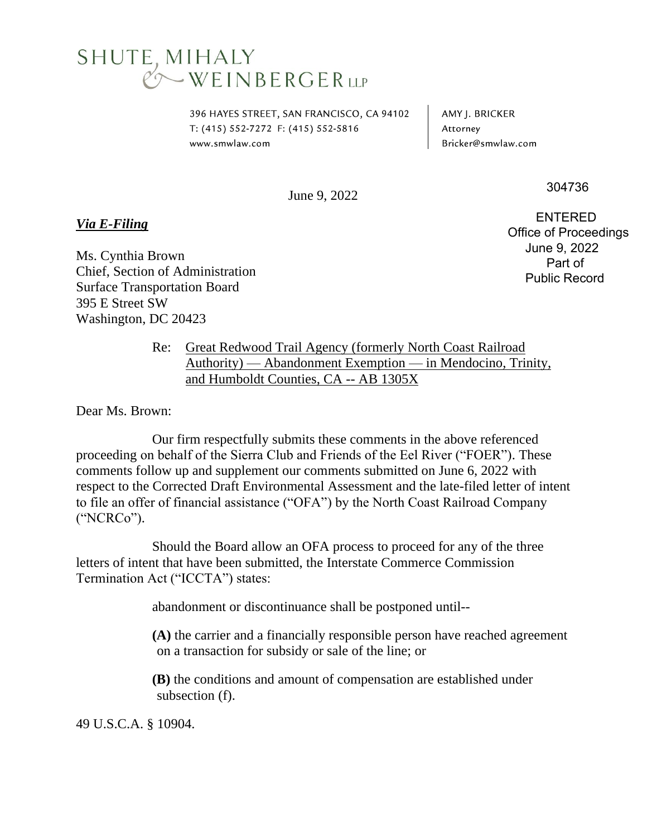## **SHUTE, MIHALY**<br>
© WEINBERGER LLP

396 HAYES STREET, SAN FRANCISCO, CA 94102 T: (415) 552-7272 F: (415) 552-5816 www.smwlaw.com

AMY J. BRICKER Attorney Bricker@smwlaw.com

June 9, 2022

*Via E-Filing*

Ms. Cynthia Brown Chief, Section of Administration Surface Transportation Board 395 E Street SW Washington, DC 20423

 ENTERED Office of Proceedings June 9, 2022 Part of Public Record

304736

Re: Great Redwood Trail Agency (formerly North Coast Railroad Authority) — Abandonment Exemption — in Mendocino, Trinity, and Humboldt Counties, CA -- AB 1305X

Dear Ms. Brown:

Our firm respectfully submits these comments in the above referenced proceeding on behalf of the Sierra Club and Friends of the Eel River ("FOER"). These comments follow up and supplement our comments submitted on June 6, 2022 with respect to the Corrected Draft Environmental Assessment and the late-filed letter of intent to file an offer of financial assistance ("OFA") by the North Coast Railroad Company ("NCRCo").

Should the Board allow an OFA process to proceed for any of the three letters of intent that have been submitted, the Interstate Commerce Commission Termination Act ("ICCTA") states:

abandonment or discontinuance shall be postponed until--

**(A)** the carrier and a financially responsible person have reached agreement on a transaction for subsidy or sale of the line; or

**(B)** the conditions and amount of compensation are established under subsection (f).

49 U.S.C.A. § 10904.